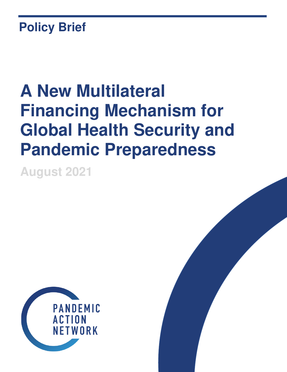# **Policy Brief**

# **A New Multilateral Financing Mechanism for Global Health Security and Pandemic Preparedness**

**August 2021** 

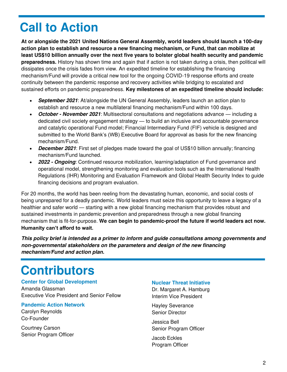# **Call to Action**

**At or alongside the 2021 United Nations General Assembly, world leaders should launch a 100-day action plan to establish and resource a new financing mechanism, or Fund, that can mobilize at least US\$10 billion annually over the next five years to bolster global health security and pandemic preparedness.** History has shown time and again that if action is not taken during a crisis, then political will dissipates once the crisis fades from view. An expedited timeline for establishing the financing mechanism/Fund will provide a critical new tool for the ongoing COVID-19 response efforts and create continuity between the pandemic response and recovery activities while bridging to escalated and sustained efforts on pandemic preparedness. **Key milestones of an expedited timeline should include:** 

- **September 2021**: At/alongside the UN General Assembly, leaders launch an action plan to establish and resource a new multilateral financing mechanism/Fund within 100 days.
- **October November 2021**: Multisectoral consultations and negotiations advance including a dedicated civil society engagement strategy — to build an inclusive and accountable governance and catalytic operational Fund model; Financial Intermediary Fund (FIF) vehicle is designed and submitted to the World Bank's (WB) Executive Board for approval as basis for the new financing mechanism/Fund.
- **December 2021**: First set of pledges made toward the goal of US\$10 billion annually; financing mechanism/Fund launched.
- **2022 Ongoing**: Continued resource mobilization, learning/adaptation of Fund governance and operational model, strengthening monitoring and evaluation tools such as the International Health Regulations (IHR) Monitoring and Evaluation Framework and Global Health Security Index to guide financing decisions and program evaluation.

For 20 months, the world has been reeling from the devastating human, economic, and social costs of being unprepared for a deadly pandemic. World leaders must seize this opportunity to leave a legacy of a healthier and safer world — starting with a new global financing mechanism that provides robust and sustained investments in pandemic prevention and preparedness through a new global financing mechanism that is fit-for-purpose. **We can begin to pandemic-proof the future if world leaders act now. Humanity can't afford to wait.**

**This policy brief is intended as a primer to inform and guide consultations among governments and non-governmental stakeholders on the parameters and design of the new financing mechanism/Fund and action plan.**

# **Contributors**

#### **Center for Global Development**

Amanda Glassman Executive Vice President and Senior Fellow

#### **Pandemic Action Network**

Carolyn Reynolds Co-Founder

Courtney Carson Senior Program Officer

#### **Nuclear Threat Initiative**

Dr. Margaret A. Hamburg Interim Vice President

Hayley Severance Senior Director

Jessica Bell Senior Program Officer

Jacob Eckles Program Officer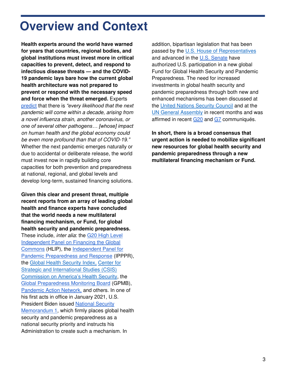### **Overview and Context**

**Health experts around the world have warned for years that countries, regional bodies, and global institutions must invest more in critical capacities to prevent, detect, and respond to infectious disease threats — and the COVID-19 pandemic lays bare how the current global health architecture was not prepared to prevent or respond with the necessary speed and force when the threat emerged.** Experts [predict](https://pandemic-financing.org/report/high-level-summary/) that there is *"every likelihood that the next*  pandemic will come within a decade, arising from a novel influenza strain, another coronavirus, or *one of several other pathogens… [whose] impact*  on human health and the global economy could be even more profound than that of COVID-*19."* Whether the next pandemic emerges naturally or due to accidental or deliberate release, the world must invest now in rapidly building core capacities for both prevention and preparedness at national, regional, and global levels and develop long-term, sustained financing solutions.

**Given this clear and present threat, multiple recent reports from an array of leading global health and finance experts have concluded that the world needs a new multilateral financing mechanism, or Fund, for global health security and pandemic preparedness.** These include, *inter alia*: the G20 High Level [Independent Panel on Financing the Global](https://pandemic-financing.org/report/high-level-summary/)  [Commons](https://pandemic-financing.org/report/high-level-summary/) (HLIP), the [Independent Panel for](https://theindependentpanel.org/mainreport/#download-main-report)  [Pandemic Preparedness and Response](https://theindependentpanel.org/mainreport/#download-main-report) (IPPPR), the [Global Health Security Index,](https://www.ghsindex.org/wp-content/uploads/2019/10/GHSIndex_FindingRecommendationsTable_Oct2019_FINAL.pdf) [Center for](https://healthsecurity.csis.org/)  [Strategic and International Studies \(CSIS\)](https://healthsecurity.csis.org/)  [Commission on America's Health Securit](https://healthsecurity.csis.org/)y, the [Global Preparedness Monitoring Board](https://apps.who.int/gpmb/assets/annual_report/2020/GPMB_2020_AR_EN_WEB.pdf) (GPMB), Pandemic Action Network, and others. In one of his first acts in office in January 2021, U.S. President Biden issued [National Security](https://www.whitehouse.gov/briefing-room/statements-releases/2021/01/21/national-security-directive-united-states-global-leadership-to-strengthen-the-international-covid-19-response-and-to-advance-global-health-security-and-biological-preparedness/)  [Memorandum 1,](https://www.whitehouse.gov/briefing-room/statements-releases/2021/01/21/national-security-directive-united-states-global-leadership-to-strengthen-the-international-covid-19-response-and-to-advance-global-health-security-and-biological-preparedness/) which firmly places global health security and pandemic preparedness as a national security priority and instructs his Administration to create such a mechanism. In

addition, bipartisan legislation that has been passed by the [U.S. House of Representatives](https://www.congress.gov/bill/117th-congress/house-bill/391?q=%7B%22search%22%3A%5B%22global+health+security+act%22%5D%7D&s=1&r=1) and advanced in the [U.S. Senate](https://www.foreign.senate.gov/press/ranking/release/risch-menendez-portman-murphy-applaud-committee-passage-of-comprehensive-global-health-legislation) have authorized U.S. participation in a new global Fund for Global Health Security and Pandemic Preparedness. The need for increased investments in global health security and pandemic preparedness through both new and enhanced mechanisms has been discussed at the [United Nations Security Council](https://www.state.gov/secretary-antony-j-blinken-remarks-to-the-un-security-council-briefing-on-covid-19-and-vaccine-access/) and at the [UN General Assembly](https://media.un.org/en/asset/k19/k19mtwb7cu) in recent months and was affirmed in recent [G20](https://global-health-summit.europa.eu/rome-declaration_en) and [G7](https://www.g7uk.org/wp-content/uploads/2021/06/G7-Carbis-Bay-Health-Declaration-PDF-389KB-4-Pages.pdf) communiqués.

**In short, there is a broad consensus that urgent action is needed to mobilize significant new resources for global health security and pandemic preparedness through a new multilateral financing mechanism or Fund.**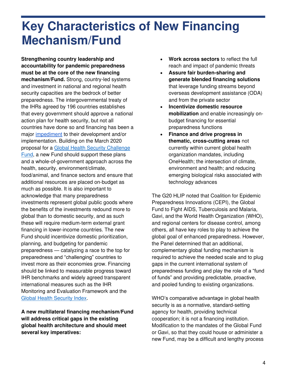## **Key Characteristics of New Financing Mechanism/Fund**

**Strengthening country leadership and accountability for pandemic preparedness must be at the core of the new financing mechanism/Fund.** Strong, country-led systems and investment in national and regional health security capacities are the bedrock of better preparedness. The intergovernmental treaty of the IHRs agreed by 196 countries establishes that every government should approve a national action plan for health security, but not all countries have done so and financing has been a major [impediment](https://www.csis.org/analysis/harnessing-multilateral-financing-health-security-preparedness) to their development and/or implementation. Building on the March 2020 proposal for a [Global Health Security Challenge](https://media.nti.org/documents/GHS_Challenge_Fund_Concept_Note_FINAL.PDF)  [Fund,](https://media.nti.org/documents/GHS_Challenge_Fund_Concept_Note_FINAL.PDF) a new Fund should support these plans and a whole-of-government approach across the health, security, environment/climate, food/animal, and finance sectors and ensure that additional resources are placed on-budget as much as possible. It is also important to acknowledge that many preparedness investments represent global public goods where the benefits of the investments redound more to global than to domestic security, and as such these will require medium-term external grant financing in lower-income countries. The new Fund should incentivize domestic prioritization, planning, and budgeting for pandemic preparedness — catalyzing a race to the top for preparedness and "challenging" countries to invest more as their economies grow. Financing should be linked to measurable progress toward IHR benchmarks and widely agreed transparent international measures such as the IHR Monitoring and Evaluation Framework and the [Global Health Security Index.](https://www.ghsindex.org/)

**A new multilateral financing mechanism/Fund will address critical gaps in the existing global health architecture and should meet several key imperatives:**

- **Work across sectors** to reflect the full reach and impact of pandemic threats
- **Assure fair burden-sharing and generate blended financing solutions** that leverage funding streams beyond overseas development assistance (ODA) and from the private sector
- **Incentivize domestic resource mobilization** and enable increasingly onbudget financing for essential preparedness functions
- **Finance and drive progress in thematic, cross-cutting areas** not currently within current global health organization mandates, including OneHealth; the intersection of climate, environment and health; and reducing emerging biological risks associated with technology advances

The G20 HLIP noted that Coalition for Epidemic Preparedness Innovations (CEPI), the Global Fund to Fight AIDS, Tuberculosis and Malaria, Gavi, and the World Health Organization (WHO), and regional centers for disease control, among others, all have key roles to play to achieve the global goal of enhanced preparedness. However, the Panel determined that an additional, complementary global funding mechanism is required to achieve the needed scale and to plug gaps in the current international system of preparedness funding and play the role of a "fund of funds" and providing predictable, proactive, and pooled funding to existing organizations.

WHO's comparative advantage in global health security is as a normative, standard-setting agency for health, providing technical cooperation; it is not a financing institution. Modification to the mandates of the Global Fund or Gavi, so that they could house or administer a new Fund, may be a difficult and lengthy process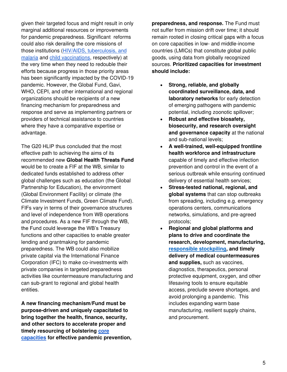given their targeted focus and might result in only marginal additional resources or improvements for pandemic preparedness. Significant reforms could also risk derailing the core missions of those institutions [\(HIV/AIDS, tuberculosis, and](https://www.theglobalfund.org/en/updates/other-updates/2021-04-13-the-impact-of-covid-19-on-hiv-tb-and-malaria-services-and-systems-for-health/)  [malaria](https://www.theglobalfund.org/en/updates/other-updates/2021-04-13-the-impact-of-covid-19-on-hiv-tb-and-malaria-services-and-systems-for-health/) and [child vaccinations,](https://www.unicef.org/press-releases/covid-19-pandemic-leads-major-backsliding-childhood-vaccinations-new-who-unicef-data) respectively) at the very time when they need to redouble their efforts because progress in those priority areas has been significantly impacted by the COVID-19 pandemic. However, the Global Fund, Gavi, WHO, CEPI, and other international and regional organizations should be recipients of a new financing mechanism for preparedness and response and serve as implementing partners or providers of technical assistance to countries where they have a comparative expertise or advantage.

The G20 HLIP thus concluded that the most effective path to achieving the aims of its recommended new **Global Health Threats Fund** would be to create a FIF at the WB, similar to dedicated funds established to address other global challenges such as education (the Global Partnership for Education), the environment (Global Environment Facility) or climate (the Climate Investment Funds, Green Climate Fund). FIFs vary in terms of their governance structures and level of independence from WB operations and procedures. As a new FIF through the WB, the Fund could leverage the WB's Treasury functions and other capacities to enable greater lending and grantmaking for pandemic preparedness. The WB could also mobilize private capital via the International Finance Corporation (IFC) to make co-investments with private companies in targeted preparedness activities like countermeasure manufacturing and can sub-grant to regional and global health entities.

**A new financing mechanism/Fund must be purpose-driven and uniquely capacitated to bring together the health, finance, security, and other sectors to accelerate proper and timely resourcing of bolstering [core](https://www.g20.org/wp-content/uploads/2021/07/G20-HLIP-Report.pdf)  [capacities](https://www.g20.org/wp-content/uploads/2021/07/G20-HLIP-Report.pdf) for effective pandemic prevention,**  **preparedness, and response.** The Fund must not suffer from mission drift over time; it should remain rooted in closing critical gaps with a focus on core capacities in low- and middle-income countries (LMICs) that constitute global public goods, using data from globally recognized sources. **Prioritized capacities for investment should include:**

- **Strong, reliable, and globally coordinated surveillance, data, and laboratory networks** for early detection of emerging pathogens with pandemic potential, including zoonotic spillover;
- **Robust and effective biosafety, biosecurity, and research oversight and governance capacity** at the national and sub-national levels;
- **A well-trained, well-equipped frontline health workforce and infrastructure** capable of timely and effective infection prevention and control in the event of a serious outbreak while ensuring continued delivery of essential health services;
- **Stress-tested national, regional, and global systems** that can stop outbreaks from spreading, including e.g. emergency operations centers, communications networks, simulations, and pre-agreed protocols;
- **Regional and global platforms and plans to drive and coordinate the research, development, manufacturing, [responsible stockpiling,](https://multimedia.3m.com/mws/media/1952793O/3m-pandemic-stockpile-white-paper-american-english.pdf) and timely delivery of medical countermeasures and supplies,** such as vaccines, diagnostics, therapeutics, personal protective equipment, oxygen, and other lifesaving tools to ensure equitable access, preclude severe shortages, and avoid prolonging a pandemic. This includes expanding warm base manufacturing, resilient supply chains, and procurement.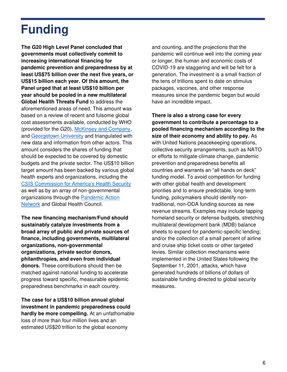# **Funding**

**The G20 High Level Panel concluded that governments must collectively commit to increasing international financing for pandemic prevention and preparedness by at least US\$75 billion over the next five years, or US\$15 billion each year. Of this amount, the Panel urged that at least US\$10 billion per year should be pooled in a new multilateral Global Health Threats Fund** to address the aforementioned areas of need. This amount was based on a review of recent and fulsome global cost assessments available, conducted by WHO (provided for the G20), [McKinsey and Company,](https://www.mckinsey.com/industries/public-and-social-sector/our-insights/not-the-last-pandemic-investing-now-to-reimagine-public-health-systems) and [Georgetown University](https://drive.google.com/file/d/1C48wD64LYqDO_v83n84dS9x_2VtlC018/view?usp=sharing) and triangulated with new data and information from other actors. This amount considers the shares of funding that should be expected to be covered by domestic budgets and the private sector. The US\$10 billion target amount has been backed by various global health experts and organizations, including the C[SIS Commission for America's Health Securit](https://www.csis.org/analysis/co-chair-statement-june-2021-meeting-commissioners)y as well as by an array of non-governmental organizations through the [Pandemic Action](https://pandemicactionnetwork.org/wp-content/uploads/2020/12/Now-or-Never-An-Agenda-for-Global-Action-to-Make-America-and-the-World-Safer-From-Pandemic-Threats.pdf)  [Network](https://pandemicactionnetwork.org/wp-content/uploads/2020/12/Now-or-Never-An-Agenda-for-Global-Action-to-Make-America-and-the-World-Safer-From-Pandemic-Threats.pdf) and Global Health Council.

**The new financing mechanism/Fund should sustainably catalyze investments from a broad array of public and private sources of finance, including governments, multilateral organizations, non-governmental organizations, private sector donors, philanthropies, and even from individual donors.** These contributions should then be matched against national funding to accelerate progress toward specific, measurable epidemic preparedness benchmarks in each country.

**The case for a US\$10 billion annual global investment in pandemic preparedness could hardly be more compelling.** At an unfathomable loss of more than four million lives and an estimated US\$20 trillion to the global economy

and counting, and the projections that the pandemic will continue well into the coming year or longer, the human and economic costs of COVID-19 are staggering and will be felt for a generation. The investment is a small fraction of the tens of trillions spent to date on stimulus packages, vaccines, and other response measures since the pandemic began but would have an incredible impact.

**There is also a strong case for every government to contribute a percentage to a pooled financing mechanism according to the size of their economy and ability to pay.** As with United Nations peacekeeping operations, collective security arrangements, such as NATO or efforts to mitigate climate change, pandemic prevention and preparedness benefits all countries and warrants an "all hands on deck" funding model. To avoid competition for funding with other global health and development priorities and to ensure predictable, long-term funding, policymakers should identify nontraditional, non-ODA funding sources as new revenue streams. Examples may include tapping homeland security or defense budgets, stretching multilateral development bank (MDB) balance sheets to expand for pandemic-specific lending; and/or the collection of a small percent of airline and cruise ship ticket costs or other targeted levies. Similar collection mechanisms were implemented in the United States following the September 11, 2001, attacks, which have generated hundreds of billions of dollars of sustainable funding directed to global security measures.